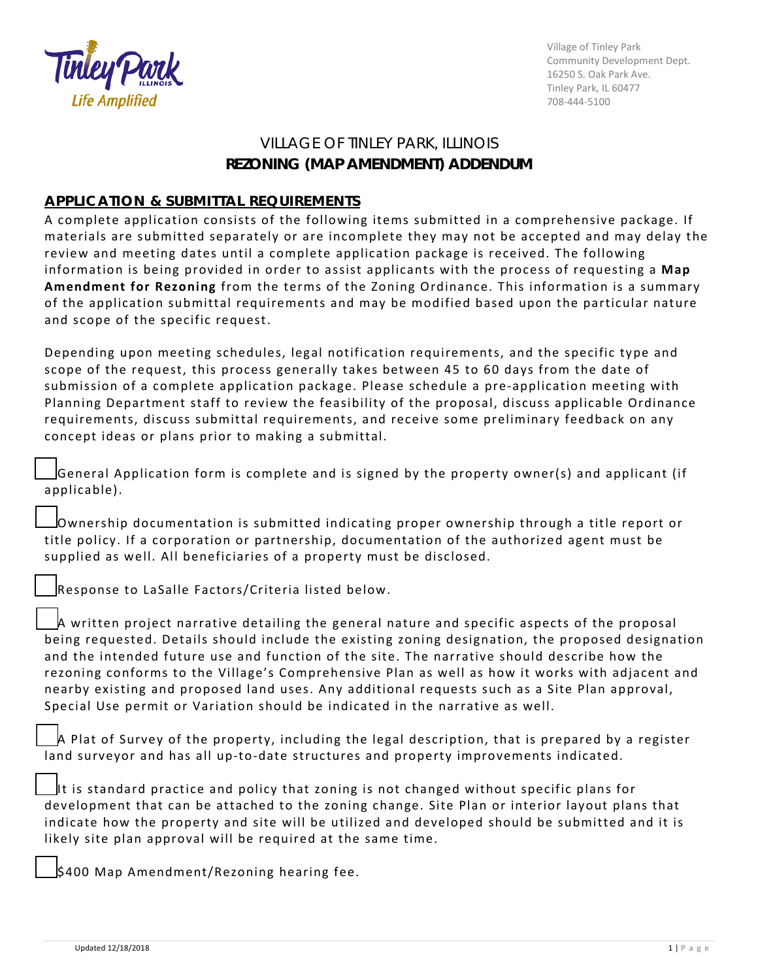

Village of Tinley Park Community Development Dept. 16250 S. Oak Park Ave. Tinley Park, IL 60477 708-444-5100

## VILLAGE OF TINLEY PARK, ILLINOIS **REZONING (MAP AMENDMENT) ADDENDUM**

## **APPLICATION & SUBMITTAL REQUIREMENTS**

A complete application consists of the following items submitted in a comprehensive package. If materials are submitted separately or are incomplete they may not be accepted and may delay the review and meeting dates until a complete application package is received. The following information is being provided in order to assist applicants with the process of requesting a **Map Amendment for Rezoning** from the terms of the Zoning Ordinance. This information is a summary of the application submittal requirements and may be modified based upon the particular nature and scope of the specific request.

Depending upon meeting schedules, legal notification requirements, and the specific type and scope of the request, this process generally takes between 45 to 60 days from the date of submission of a complete application package. Please schedule a pre-application meeting with Planning Department staff to review the feasibility of the proposal, discuss applicable Ordinance requirements, discuss submittal requirements, and receive some preliminary feedback on any concept ideas or plans prior to making a submittal.

☐General Application form is complete and is signed by the property owner(s) and applicant (if applicable).

☐Ownership documentation is submitted indicating proper ownership through a title report or title policy. If a corporation or partnership, documentation of the authorized agent must be supplied as well. All beneficiaries of a property must be disclosed.

☐Response to LaSalle Factors/Criteria listed below.

A written project narrative detailing the general nature and specific aspects of the proposal being requested. Details should include the existing zoning designation, the proposed designation and the intended future use and function of the site. The narrative should describe how the rezoning conforms to the Village's Comprehensive Plan as well as how it works with adjacent and nearby existing and proposed land uses. Any additional requests such as a Site Plan approval, Special Use permit or Variation should be indicated in the narrative as well.

A Plat of Survey of the property, including the legal description, that is prepared by a register land surveyor and has all up-to-date structures and property improvements indicated.

It is standard practice and policy that zoning is not changed without specific plans for development that can be attached to the zoning change. Site Plan or interior layout plans that indicate how the property and site will be utilized and developed should be submitted and it is likely site plan approval will be required at the same time.

☐\$400 Map Amendment/Rezoning hearing fee.